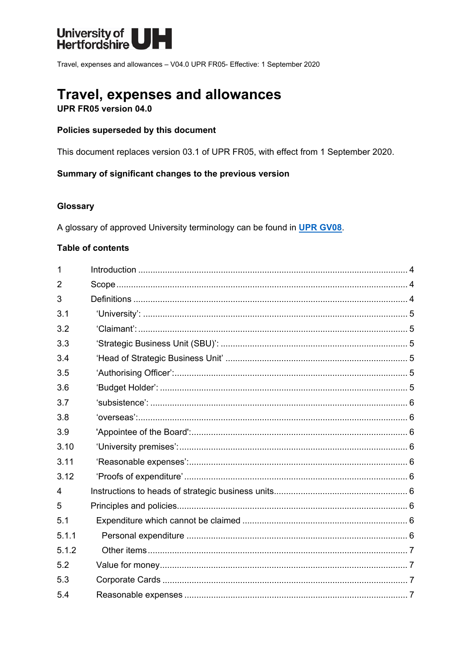

Travel, expenses and allowances - V04.0 UPR FR05- Effective: 1 September 2020

# **Travel, expenses and allowances**

UPR FR05 version 04.0

#### Policies superseded by this document

This document replaces version 03.1 of UPR FR05, with effect from 1 September 2020.

#### Summary of significant changes to the previous version

### Glossary

A glossary of approved University terminology can be found in UPR GV08.

#### **Table of contents**

| 1              |  |
|----------------|--|
| $\overline{2}$ |  |
| 3              |  |
| 3.1            |  |
| 3.2            |  |
| 3.3            |  |
| 3.4            |  |
| 3.5            |  |
| 3.6            |  |
| 3.7            |  |
| 3.8            |  |
| 3.9            |  |
| 3.10           |  |
| 3.11           |  |
| 3.12           |  |
| 4              |  |
| 5              |  |
| 5.1            |  |
| 5.1.1          |  |
| 5.1.2          |  |
| 5.2            |  |
| 5.3            |  |
| 5.4            |  |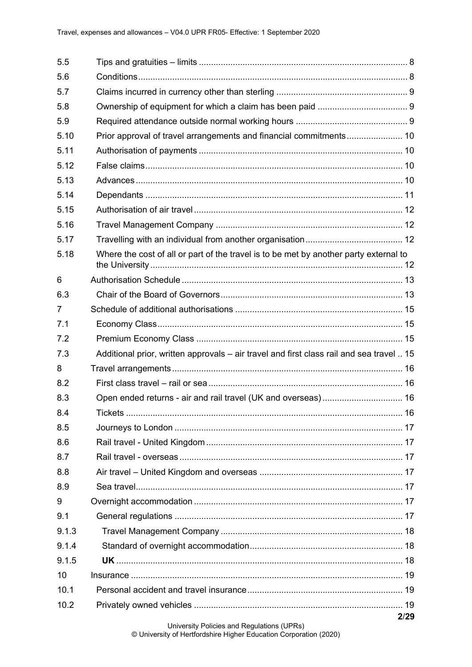| 5.5   | Tips and gratuities – limits …………………………………………………………………………… 8                             |  |
|-------|------------------------------------------------------------------------------------------|--|
| 5.6   |                                                                                          |  |
| 5.7   |                                                                                          |  |
| 5.8   |                                                                                          |  |
| 5.9   |                                                                                          |  |
| 5.10  |                                                                                          |  |
| 5.11  |                                                                                          |  |
| 5.12  |                                                                                          |  |
| 5.13  |                                                                                          |  |
| 5.14  |                                                                                          |  |
| 5.15  |                                                                                          |  |
| 5.16  |                                                                                          |  |
| 5.17  |                                                                                          |  |
| 5.18  | Where the cost of all or part of the travel is to be met by another party external to    |  |
| 6     |                                                                                          |  |
| 6.3   |                                                                                          |  |
| 7     |                                                                                          |  |
| 7.1   |                                                                                          |  |
| 7.2   |                                                                                          |  |
|       |                                                                                          |  |
| 7.3   | Additional prior, written approvals – air travel and first class rail and sea travel  15 |  |
| 8     |                                                                                          |  |
| 8.2   |                                                                                          |  |
| 8.3   | Open ended returns - air and rail travel (UK and overseas) 16                            |  |
| 8.4   |                                                                                          |  |
| 8.5   |                                                                                          |  |
| 8.6   |                                                                                          |  |
| 8.7   |                                                                                          |  |
| 8.8   |                                                                                          |  |
| 8.9   |                                                                                          |  |
| 9     |                                                                                          |  |
| 9.1   |                                                                                          |  |
| 9.1.3 |                                                                                          |  |
| 9.1.4 |                                                                                          |  |
| 9.1.5 |                                                                                          |  |
| 10    |                                                                                          |  |
| 10.1  |                                                                                          |  |
| 10.2  |                                                                                          |  |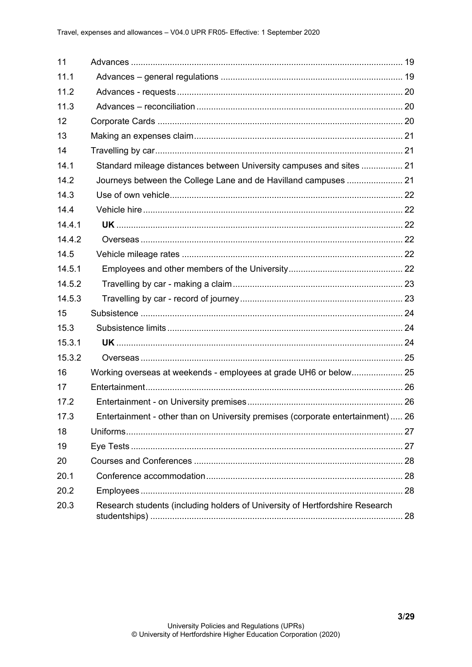<span id="page-2-0"></span>

| 11     |                                                                                 |  |
|--------|---------------------------------------------------------------------------------|--|
| 11.1   |                                                                                 |  |
| 11.2   |                                                                                 |  |
| 11.3   |                                                                                 |  |
| 12     |                                                                                 |  |
| 13     |                                                                                 |  |
| 14     |                                                                                 |  |
| 14.1   | Standard mileage distances between University campuses and sites  21            |  |
| 14.2   |                                                                                 |  |
| 14.3   |                                                                                 |  |
| 14.4   |                                                                                 |  |
| 14.4.1 |                                                                                 |  |
| 14.4.2 |                                                                                 |  |
| 14.5   |                                                                                 |  |
| 14.5.1 |                                                                                 |  |
| 14.5.2 |                                                                                 |  |
| 14.5.3 |                                                                                 |  |
| 15     |                                                                                 |  |
| 15.3   |                                                                                 |  |
| 15.3.1 |                                                                                 |  |
| 15.3.2 |                                                                                 |  |
| 16     | Working overseas at weekends - employees at grade UH6 or below 25               |  |
| 17     |                                                                                 |  |
| 17.2   |                                                                                 |  |
| 17.3   | Entertainment - other than on University premises (corporate entertainment)  26 |  |
| 18     |                                                                                 |  |
| 19     |                                                                                 |  |
| 20     |                                                                                 |  |
| 20.1   |                                                                                 |  |
| 20.2   |                                                                                 |  |
| 20.3   | Research students (including holders of University of Hertfordshire Research    |  |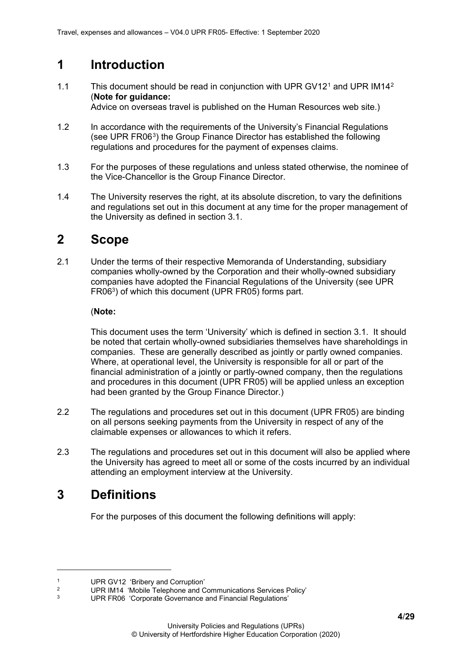# **1 Introduction**

[1](#page-3-2).1 This document should be read in conjunction with UPR GV1[2](#page-3-3)<sup>1</sup> and UPR IM14<sup>2</sup> (**Note for guidance:**

Advice on overseas travel is published on the Human Resources web site.)

- 1.2 In accordance with the requirements of the University's Financial Regulations (see UPR FR06[3\)](#page-3-4) the Group Finance Director has established the following regulations and procedures for the payment of expenses claims.
- 1.3 For the purposes of these regulations and unless stated otherwise, the nominee of the Vice-Chancellor is the Group Finance Director.
- 1.4 The University reserves the right, at its absolute discretion, to vary the definitions and regulations set out in this document at any time for the proper management of the University as defined in section 3.1.

# <span id="page-3-0"></span>**2 Scope**

2.1 Under the terms of their respective Memoranda of Understanding, subsidiary companies wholly-owned by the Corporation and their wholly-owned subsidiary companies have adopted the Financial Regulations of the University (see UPR FR063) of which this document (UPR FR05) forms part.

# (**Note:**

This document uses the term 'University' which is defined in section 3.1. It should be noted that certain wholly-owned subsidiaries themselves have shareholdings in companies. These are generally described as jointly or partly owned companies. Where, at operational level, the University is responsible for all or part of the financial administration of a jointly or partly-owned company, then the regulations and procedures in this document (UPR FR05) will be applied unless an exception had been granted by the Group Finance Director.)

- 2.2 The regulations and procedures set out in this document (UPR FR05) are binding on all persons seeking payments from the University in respect of any of the claimable expenses or allowances to which it refers.
- 2.3 The regulations and procedures set out in this document will also be applied where the University has agreed to meet all or some of the costs incurred by an individual attending an employment interview at the University.

# <span id="page-3-1"></span>**3 Definitions**

For the purposes of this document the following definitions will apply:

<span id="page-3-2"></span><sup>&</sup>lt;sup>1</sup> UPR GV12 'Bribery and Corruption'<br><sup>2</sup> UPB JM14 'Mobile Telephone and C

<span id="page-3-3"></span><sup>&</sup>lt;sup>2</sup> UPR IM14 'Mobile Telephone and Communications Services Policy'<br>
<sup>2</sup> UPR FROG 'Correcto Coverance and Financial Regulations'

<span id="page-3-4"></span>UPR FR06 'Corporate Governance and Financial Regulations'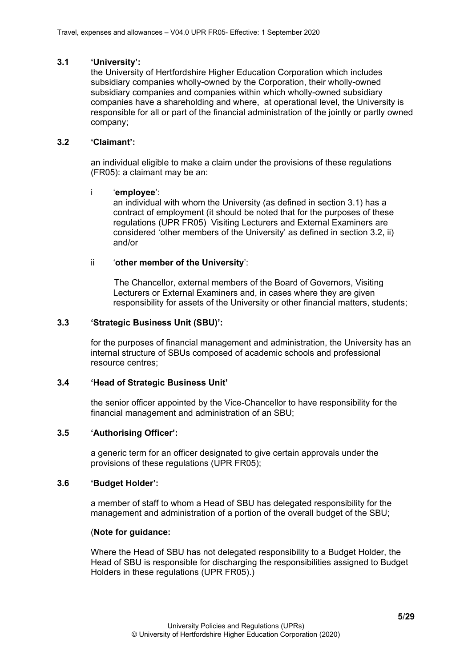#### <span id="page-4-0"></span>**3.1 'University':**

the University of Hertfordshire Higher Education Corporation which includes subsidiary companies wholly-owned by the Corporation, their wholly-owned subsidiary companies and companies within which wholly-owned subsidiary companies have a shareholding and where, at operational level, the University is responsible for all or part of the financial administration of the jointly or partly owned company;

### <span id="page-4-1"></span>**3.2 'Claimant':**

an individual eligible to make a claim under the provisions of these regulations (FR05): a claimant may be an:

#### i '**employee**':

an individual with whom the University (as defined in section 3.1) has a contract of employment (it should be noted that for the purposes of these regulations (UPR FR05) Visiting Lecturers and External Examiners are considered 'other members of the University' as defined in section 3.2, ii) and/or

### ii '**other member of the University**':

The Chancellor, external members of the Board of Governors, Visiting Lecturers or External Examiners and, in cases where they are given responsibility for assets of the University or other financial matters, students;

#### <span id="page-4-2"></span>**3.3 'Strategic Business Unit (SBU)':**

for the purposes of financial management and administration, the University has an internal structure of SBUs composed of academic schools and professional resource centres;

### <span id="page-4-3"></span>**3.4 'Head of Strategic Business Unit'**

the senior officer appointed by the Vice-Chancellor to have responsibility for the financial management and administration of an SBU;

### <span id="page-4-4"></span>**3.5 'Authorising Officer':**

a generic term for an officer designated to give certain approvals under the provisions of these regulations (UPR FR05);

#### <span id="page-4-5"></span>**3.6 'Budget Holder':**

a member of staff to whom a Head of SBU has delegated responsibility for the management and administration of a portion of the overall budget of the SBU;

#### (**Note for guidance:**

Where the Head of SBU has not delegated responsibility to a Budget Holder, the Head of SBU is responsible for discharging the responsibilities assigned to Budget Holders in these regulations (UPR FR05).)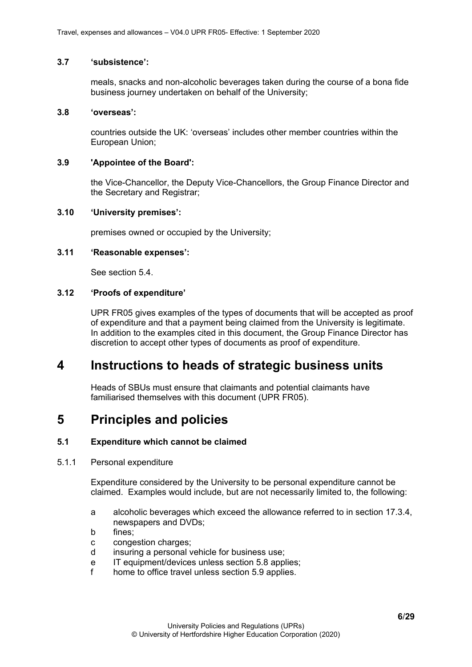#### <span id="page-5-0"></span>**3.7 'subsistence':**

meals, snacks and non-alcoholic beverages taken during the course of a bona fide business journey undertaken on behalf of the University;

#### <span id="page-5-1"></span>**3.8 'overseas':**

countries outside the UK: 'overseas' includes other member countries within the European Union;

#### <span id="page-5-2"></span>**3.9 'Appointee of the Board':**

the Vice-Chancellor, the Deputy Vice-Chancellors, the Group Finance Director and the Secretary and Registrar;

#### <span id="page-5-3"></span>**3.10 'University premises':**

premises owned or occupied by the University;

#### <span id="page-5-4"></span>**3.11 'Reasonable expenses':**

See section 5.4.

### <span id="page-5-5"></span>**3.12 'Proofs of expenditure'**

UPR FR05 gives examples of the types of documents that will be accepted as proof of expenditure and that a payment being claimed from the University is legitimate. In addition to the examples cited in this document, the Group Finance Director has discretion to accept other types of documents as proof of expenditure.

# <span id="page-5-6"></span>**4 Instructions to heads of strategic business units**

Heads of SBUs must ensure that claimants and potential claimants have familiarised themselves with this document (UPR FR05).

# <span id="page-5-7"></span>**5 Principles and policies**

### <span id="page-5-8"></span>**5.1 Expenditure which cannot be claimed**

#### <span id="page-5-9"></span>5.1.1 Personal expenditure

Expenditure considered by the University to be personal expenditure cannot be claimed. Examples would include, but are not necessarily limited to, the following:

- a alcoholic beverages which exceed the allowance referred to in section 17.3.4, newspapers and DVDs;
- b fines;
- c congestion charges;
- d insuring a personal vehicle for business use;
- e IT equipment/devices unless section 5.8 applies;
- <span id="page-5-10"></span>f home to office travel unless section 5.9 applies.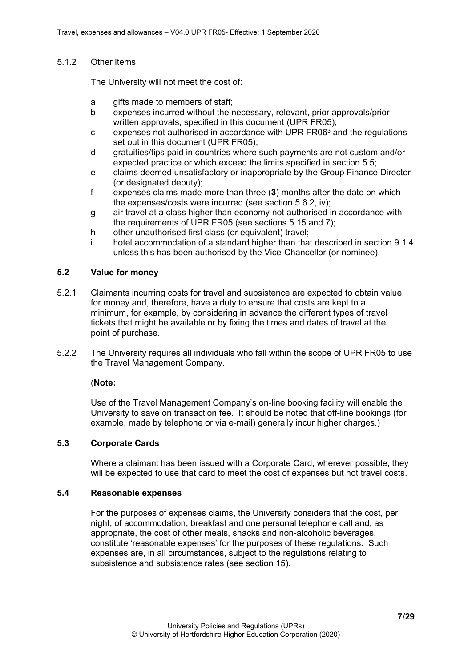#### 5.1.2 Other items

The University will not meet the cost of:

- a gifts made to members of staff;
- b expenses incurred without the necessary, relevant, prior approvals/prior written approvals, specified in this document (UPR FR05);
- $c$  expenses not authorised in accordance with UPR FR06 $3$  and the regulations set out in this document (UPR FR05);
- d gratuities/tips paid in countries where such payments are not custom and/or expected practice or which exceed the limits specified in section 5.5;
- e claims deemed unsatisfactory or inappropriate by the Group Finance Director (or designated deputy);
- f expenses claims made more than three (**3**) months after the date on which the expenses/costs were incurred (see section 5.6.2, iv);
- g air travel at a class higher than economy not authorised in accordance with the requirements of UPR FR05 (see sections 5.15 and 7);
- h other unauthorised first class (or equivalent) travel:
- i hotel accommodation of a standard higher than that described in section 9.1.4 unless this has been authorised by the Vice-Chancellor (or nominee).

### <span id="page-6-0"></span>**5.2 Value for money**

- 5.2.1 Claimants incurring costs for travel and subsistence are expected to obtain value for money and, therefore, have a duty to ensure that costs are kept to a minimum, for example, by considering in advance the different types of travel tickets that might be available or by fixing the times and dates of travel at the point of purchase.
- 5.2.2 The University requires all individuals who fall within the scope of UPR FR05 to use the Travel Management Company.

### (**Note:**

Use of the Travel Management Company's on-line booking facility will enable the University to save on transaction fee. It should be noted that off-line bookings (for example, made by telephone or via e-mail) generally incur higher charges.)

### <span id="page-6-1"></span>**5.3 Corporate Cards**

Where a claimant has been issued with a Corporate Card, wherever possible, they will be expected to use that card to meet the cost of expenses but not travel costs.

#### <span id="page-6-2"></span>**5.4 Reasonable expenses**

For the purposes of expenses claims, the University considers that the cost, per night, of accommodation, breakfast and one personal telephone call and, as appropriate, the cost of other meals, snacks and non-alcoholic beverages, constitute 'reasonable expenses' for the purposes of these regulations. Such expenses are, in all circumstances, subject to the regulations relating to subsistence and subsistence rates (see section 15).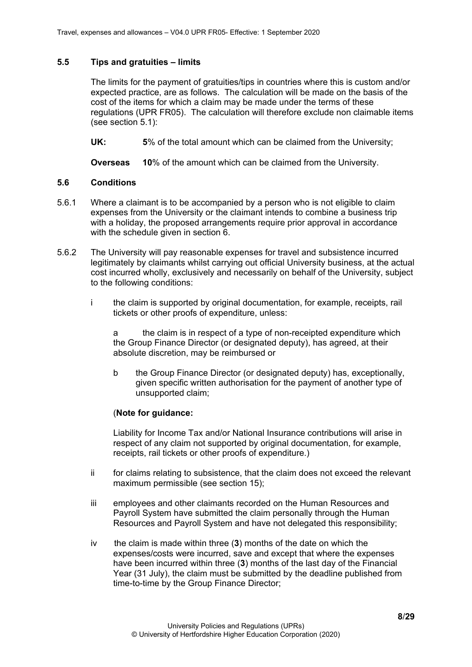### <span id="page-7-0"></span>**5.5 Tips and gratuities – limits**

The limits for the payment of gratuities/tips in countries where this is custom and/or expected practice, are as follows. The calculation will be made on the basis of the cost of the items for which a claim may be made under the terms of these regulations (UPR FR05). The calculation will therefore exclude non claimable items (see section 5.1):

**UK: 5**% of the total amount which can be claimed from the University;

**Overseas 10**% of the amount which can be claimed from the University.

# <span id="page-7-1"></span>**5.6 Conditions**

- 5.6.1 Where a claimant is to be accompanied by a person who is not eligible to claim expenses from the University or the claimant intends to combine a business trip with a holiday, the proposed arrangements require prior approval in accordance with the schedule given in section 6.
- 5.6.2 The University will pay reasonable expenses for travel and subsistence incurred legitimately by claimants whilst carrying out official University business, at the actual cost incurred wholly, exclusively and necessarily on behalf of the University, subject to the following conditions:
	- i the claim is supported by original documentation, for example, receipts, rail tickets or other proofs of expenditure, unless:

a the claim is in respect of a type of non-receipted expenditure which the Group Finance Director (or designated deputy), has agreed, at their absolute discretion, may be reimbursed or

b the Group Finance Director (or designated deputy) has, exceptionally, given specific written authorisation for the payment of another type of unsupported claim;

# (**Note for guidance:**

Liability for Income Tax and/or National Insurance contributions will arise in respect of any claim not supported by original documentation, for example, receipts, rail tickets or other proofs of expenditure.)

- ii for claims relating to subsistence, that the claim does not exceed the relevant maximum permissible (see section 15);
- iii employees and other claimants recorded on the Human Resources and Payroll System have submitted the claim personally through the Human Resources and Payroll System and have not delegated this responsibility;
- iv the claim is made within three (**3**) months of the date on which the expenses/costs were incurred, save and except that where the expenses have been incurred within three (**3**) months of the last day of the Financial Year (31 July), the claim must be submitted by the deadline published from time-to-time by the Group Finance Director;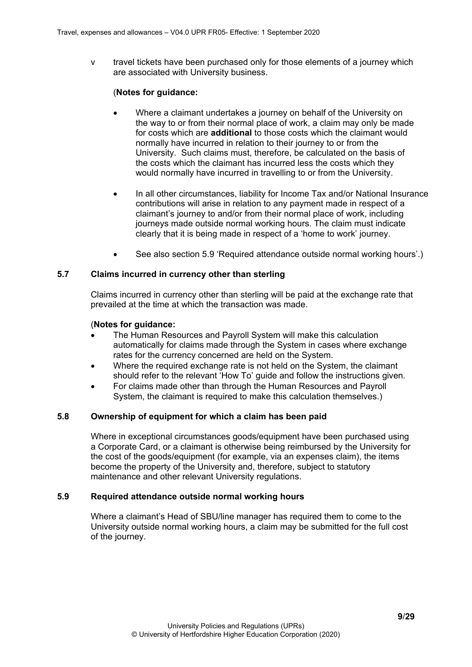v travel tickets have been purchased only for those elements of a journey which are associated with University business.

#### (**Notes for guidance:**

- Where a claimant undertakes a journey on behalf of the University on the way to or from their normal place of work, a claim may only be made for costs which are **additional** to those costs which the claimant would normally have incurred in relation to their journey to or from the University. Such claims must, therefore, be calculated on the basis of the costs which the claimant has incurred less the costs which they would normally have incurred in travelling to or from the University.
- In all other circumstances, liability for Income Tax and/or National Insurance contributions will arise in relation to any payment made in respect of a claimant's journey to and/or from their normal place of work, including journeys made outside normal working hours. The claim must indicate clearly that it is being made in respect of a 'home to work' journey.
- See also section 5.9 'Required attendance outside normal working hours'.)

### <span id="page-8-0"></span>**5.7 Claims incurred in currency other than sterling**

Claims incurred in currency other than sterling will be paid at the exchange rate that prevailed at the time at which the transaction was made.

#### (**Notes for guidance:**

- The Human Resources and Payroll System will make this calculation automatically for claims made through the System in cases where exchange rates for the currency concerned are held on the System.
- Where the required exchange rate is not held on the System, the claimant should refer to the relevant 'How To' guide and follow the instructions given.
- For claims made other than through the Human Resources and Payroll System, the claimant is required to make this calculation themselves.)

#### <span id="page-8-1"></span>**5.8 Ownership of equipment for which a claim has been paid**

Where in exceptional circumstances goods/equipment have been purchased using a Corporate Card, or a claimant is otherwise being reimbursed by the University for the cost of the goods/equipment (for example, via an expenses claim), the items become the property of the University and, therefore, subject to statutory maintenance and other relevant University regulations.

#### <span id="page-8-2"></span>**5.9 Required attendance outside normal working hours**

Where a claimant's Head of SBU/line manager has required them to come to the University outside normal working hours, a claim may be submitted for the full cost of the journey.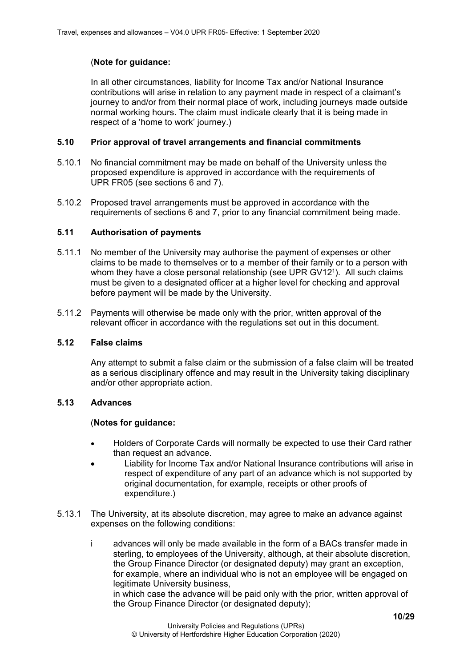# (**Note for guidance:**

In all other circumstances, liability for Income Tax and/or National Insurance contributions will arise in relation to any payment made in respect of a claimant's journey to and/or from their normal place of work, including journeys made outside normal working hours. The claim must indicate clearly that it is being made in respect of a 'home to work' journey.)

### <span id="page-9-0"></span>**5.10 Prior approval of travel arrangements and financial commitments**

- 5.10.1 No financial commitment may be made on behalf of the University unless the proposed expenditure is approved in accordance with the requirements of UPR FR05 (see sections 6 and 7).
- 5.10.2 Proposed travel arrangements must be approved in accordance with the requirements of sections 6 and 7, prior to any financial commitment being made.

# <span id="page-9-1"></span>**5.11 Authorisation of payments**

- 5.11.1 No member of the University may authorise the payment of expenses or other claims to be made to themselves or to a member of their family or to a person with whom they have a close personal relationship (see UPR GV12<sup>1</sup>). All such claims must be given to a designated officer at a higher level for checking and approval before payment will be made by the University.
- 5.11.2 Payments will otherwise be made only with the prior, written approval of the relevant officer in accordance with the regulations set out in this document.

### <span id="page-9-2"></span>**5.12 False claims**

Any attempt to submit a false claim or the submission of a false claim will be treated as a serious disciplinary offence and may result in the University taking disciplinary and/or other appropriate action.

### <span id="page-9-3"></span>**5.13 Advances**

### (**Notes for guidance:**

- Holders of Corporate Cards will normally be expected to use their Card rather than request an advance.
- Liability for Income Tax and/or National Insurance contributions will arise in respect of expenditure of any part of an advance which is not supported by original documentation, for example, receipts or other proofs of expenditure.)
- 5.13.1 The University, at its absolute discretion, may agree to make an advance against expenses on the following conditions:
	- i advances will only be made available in the form of a BACs transfer made in sterling, to employees of the University, although, at their absolute discretion, the Group Finance Director (or designated deputy) may grant an exception, for example, where an individual who is not an employee will be engaged on legitimate University business,

in which case the advance will be paid only with the prior, written approval of the Group Finance Director (or designated deputy);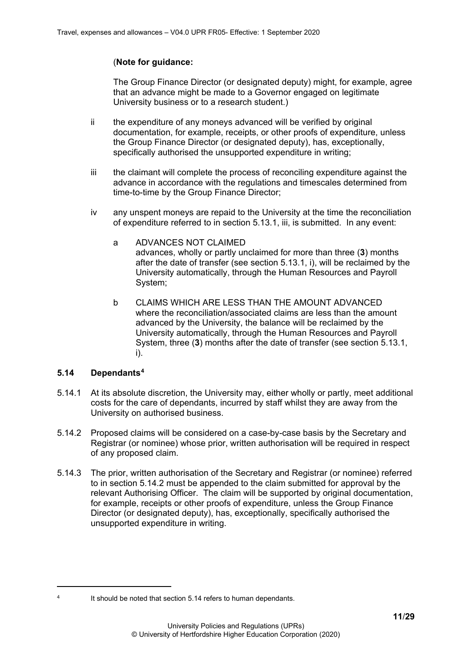# (**Note for guidance:**

The Group Finance Director (or designated deputy) might, for example, agree that an advance might be made to a Governor engaged on legitimate University business or to a research student.)

- ii the expenditure of any moneys advanced will be verified by original documentation, for example, receipts, or other proofs of expenditure, unless the Group Finance Director (or designated deputy), has, exceptionally, specifically authorised the unsupported expenditure in writing;
- iii the claimant will complete the process of reconciling expenditure against the advance in accordance with the regulations and timescales determined from time-to-time by the Group Finance Director;
- iv any unspent moneys are repaid to the University at the time the reconciliation of expenditure referred to in section 5.13.1, iii, is submitted. In any event:
	- a ADVANCES NOT CLAIMED advances, wholly or partly unclaimed for more than three (**3**) months after the date of transfer (see section 5.13.1, i), will be reclaimed by the University automatically, through the Human Resources and Payroll System;
	- b CLAIMS WHICH ARE LESS THAN THE AMOUNT ADVANCED where the reconciliation/associated claims are less than the amount advanced by the University, the balance will be reclaimed by the University automatically, through the Human Resources and Payroll System, three (**3**) months after the date of transfer (see section 5.13.1, i).

# <span id="page-10-0"></span>**5.14 Dependants[4](#page-10-1)**

- 5.14.1 At its absolute discretion, the University may, either wholly or partly, meet additional costs for the care of dependants, incurred by staff whilst they are away from the University on authorised business.
- 5.14.2 Proposed claims will be considered on a case-by-case basis by the Secretary and Registrar (or nominee) whose prior, written authorisation will be required in respect of any proposed claim.
- 5.14.3 The prior, written authorisation of the Secretary and Registrar (or nominee) referred to in section 5.14.2 must be appended to the claim submitted for approval by the relevant Authorising Officer. The claim will be supported by original documentation, for example, receipts or other proofs of expenditure, unless the Group Finance Director (or designated deputy), has, exceptionally, specifically authorised the unsupported expenditure in writing.

<span id="page-10-1"></span><sup>4</sup> It should be noted that section 5.14 refers to human dependants.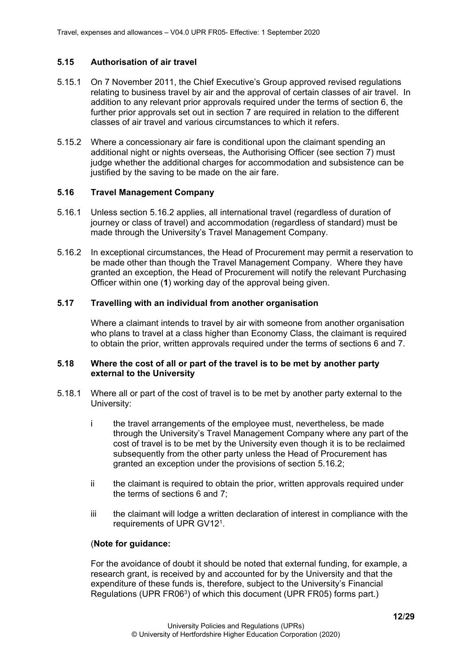### <span id="page-11-0"></span>**5.15 Authorisation of air travel**

- 5.15.1 On 7 November 2011, the Chief Executive's Group approved revised regulations relating to business travel by air and the approval of certain classes of air travel. In addition to any relevant prior approvals required under the terms of section 6, the further prior approvals set out in section 7 are required in relation to the different classes of air travel and various circumstances to which it refers.
- 5.15.2 Where a concessionary air fare is conditional upon the claimant spending an additional night or nights overseas, the Authorising Officer (see section 7) must judge whether the additional charges for accommodation and subsistence can be justified by the saving to be made on the air fare.

#### <span id="page-11-1"></span>**5.16 Travel Management Company**

- 5.16.1 Unless section 5.16.2 applies, all international travel (regardless of duration of journey or class of travel) and accommodation (regardless of standard) must be made through the University's Travel Management Company.
- 5.16.2 In exceptional circumstances, the Head of Procurement may permit a reservation to be made other than though the Travel Management Company. Where they have granted an exception, the Head of Procurement will notify the relevant Purchasing Officer within one (**1**) working day of the approval being given.

#### <span id="page-11-2"></span>**5.17 Travelling with an individual from another organisation**

Where a claimant intends to travel by air with someone from another organisation who plans to travel at a class higher than Economy Class, the claimant is required to obtain the prior, written approvals required under the terms of sections 6 and 7.

#### <span id="page-11-3"></span>**5.18 Where the cost of all or part of the travel is to be met by another party external to the University**

- 5.18.1 Where all or part of the cost of travel is to be met by another party external to the University:
	- i the travel arrangements of the employee must, nevertheless, be made through the University's Travel Management Company where any part of the cost of travel is to be met by the University even though it is to be reclaimed subsequently from the other party unless the Head of Procurement has granted an exception under the provisions of section 5.16.2;
	- ii the claimant is required to obtain the prior, written approvals required under the terms of sections 6 and 7;
	- iii the claimant will lodge a written declaration of interest in compliance with the requirements of UPR GV121.

### (**Note for guidance:**

For the avoidance of doubt it should be noted that external funding, for example, a research grant, is received by and accounted for by the University and that the expenditure of these funds is, therefore, subject to the University's Financial Regulations (UPR FR06<sup>3</sup>) of which this document (UPR FR05) forms part.)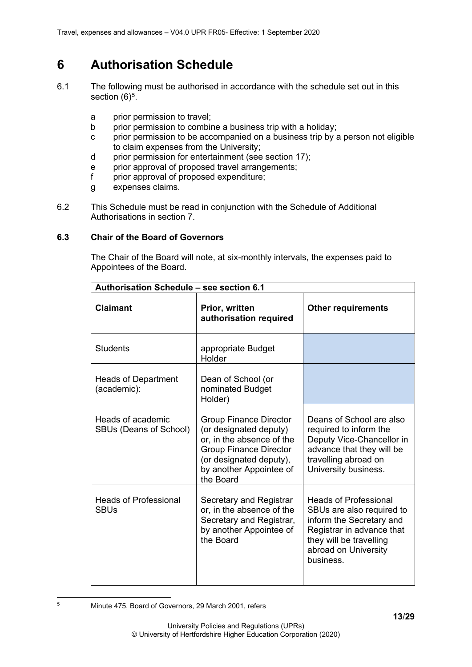# <span id="page-12-0"></span>**6 Authorisation Schedule**

- 6.1 The following must be authorised in accordance with the schedule set out in this section  $(6)^5$  $(6)^5$ .
	- a prior permission to travel;
	- b prior permission to combine a business trip with a holiday;
	- c prior permission to be accompanied on a business trip by a person not eligible to claim expenses from the University;
	- d prior permission for entertainment (see section 17);
	- e prior approval of proposed travel arrangements;
	- f prior approval of proposed expenditure;
	- g expenses claims.
- 6.2 This Schedule must be read in conjunction with the Schedule of Additional Authorisations in section 7.

### <span id="page-12-1"></span>**6.3 Chair of the Board of Governors**

The Chair of the Board will note, at six-monthly intervals, the expenses paid to Appointees of the Board.

| Authorisation Schedule - see section 6.1    |                                                                                                                                                                                          |                                                                                                                                                                                    |  |
|---------------------------------------------|------------------------------------------------------------------------------------------------------------------------------------------------------------------------------------------|------------------------------------------------------------------------------------------------------------------------------------------------------------------------------------|--|
| <b>Claimant</b>                             | Prior, written<br>authorisation required                                                                                                                                                 | <b>Other requirements</b>                                                                                                                                                          |  |
| <b>Students</b>                             | appropriate Budget<br>Holder                                                                                                                                                             |                                                                                                                                                                                    |  |
| <b>Heads of Department</b><br>(academic):   | Dean of School (or<br>nominated Budget<br>Holder)                                                                                                                                        |                                                                                                                                                                                    |  |
| Heads of academic<br>SBUs (Deans of School) | <b>Group Finance Director</b><br>(or designated deputy)<br>or, in the absence of the<br><b>Group Finance Director</b><br>(or designated deputy),<br>by another Appointee of<br>the Board | Deans of School are also<br>required to inform the<br>Deputy Vice-Chancellor in<br>advance that they will be<br>travelling abroad on<br>University business.                       |  |
| <b>Heads of Professional</b><br><b>SBUs</b> | Secretary and Registrar<br>or, in the absence of the<br>Secretary and Registrar,<br>by another Appointee of<br>the Board                                                                 | <b>Heads of Professional</b><br>SBUs are also required to<br>inform the Secretary and<br>Registrar in advance that<br>they will be travelling<br>abroad on University<br>business. |  |

<span id="page-12-2"></span><sup>5</sup> Minute 475, Board of Governors, 29 March 2001, refers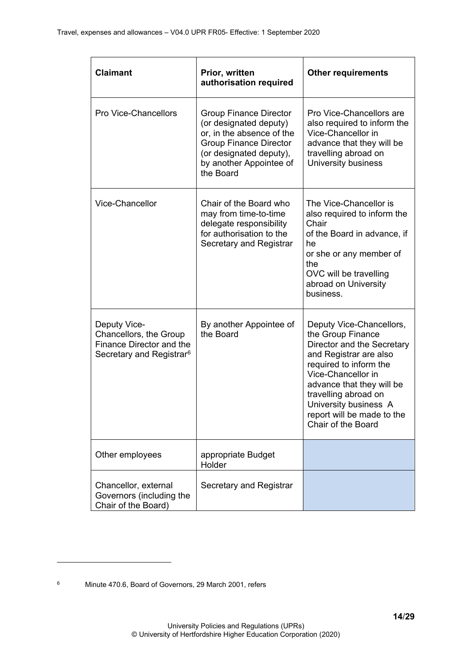| <b>Claimant</b>                                                                                            | Prior, written<br>authorisation required                                                                                                                                                 | <b>Other requirements</b>                                                                                                                                                                                                                                                               |
|------------------------------------------------------------------------------------------------------------|------------------------------------------------------------------------------------------------------------------------------------------------------------------------------------------|-----------------------------------------------------------------------------------------------------------------------------------------------------------------------------------------------------------------------------------------------------------------------------------------|
| <b>Pro Vice-Chancellors</b>                                                                                | <b>Group Finance Director</b><br>(or designated deputy)<br>or, in the absence of the<br><b>Group Finance Director</b><br>(or designated deputy),<br>by another Appointee of<br>the Board | Pro Vice-Chancellors are<br>also required to inform the<br>Vice-Chancellor in<br>advance that they will be<br>travelling abroad on<br>University business                                                                                                                               |
| Vice-Chancellor                                                                                            | Chair of the Board who<br>may from time-to-time<br>delegate responsibility<br>for authorisation to the<br>Secretary and Registrar                                                        | The Vice-Chancellor is<br>also required to inform the<br>Chair<br>of the Board in advance, if<br>he<br>or she or any member of<br>the<br>OVC will be travelling<br>abroad on University<br>business.                                                                                    |
| Deputy Vice-<br>Chancellors, the Group<br>Finance Director and the<br>Secretary and Registrar <sup>6</sup> | By another Appointee of<br>the Board                                                                                                                                                     | Deputy Vice-Chancellors,<br>the Group Finance<br>Director and the Secretary<br>and Registrar are also<br>required to inform the<br>Vice-Chancellor in<br>advance that they will be<br>travelling abroad on<br>University business A<br>report will be made to the<br>Chair of the Board |
| Other employees                                                                                            | appropriate Budget<br>Holder                                                                                                                                                             |                                                                                                                                                                                                                                                                                         |
| Chancellor, external<br>Governors (including the<br>Chair of the Board)                                    | Secretary and Registrar                                                                                                                                                                  |                                                                                                                                                                                                                                                                                         |

<span id="page-13-0"></span><sup>6</sup> Minute 470.6, Board of Governors, 29 March 2001, refers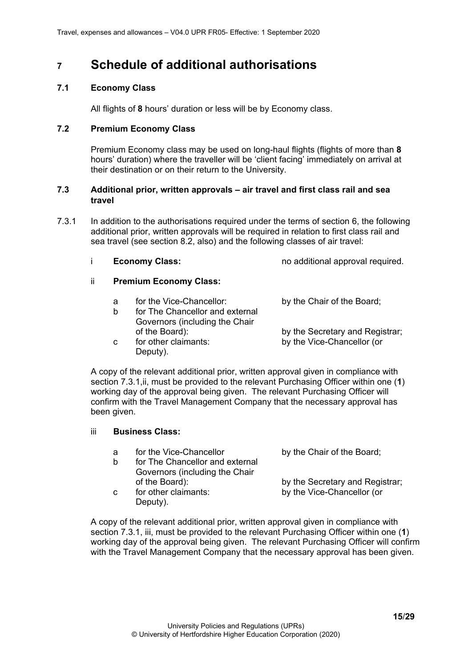# <span id="page-14-0"></span>**<sup>7</sup> Schedule of additional authorisations**

### <span id="page-14-1"></span>**7.1 Economy Class**

All flights of **8** hours' duration or less will be by Economy class.

#### <span id="page-14-2"></span>**7.2 Premium Economy Class**

Premium Economy class may be used on long-haul flights (flights of more than **8**  hours' duration) where the traveller will be 'client facing' immediately on arrival at their destination or on their return to the University.

#### <span id="page-14-3"></span>**7.3 Additional prior, written approvals – air travel and first class rail and sea travel**

7.3.1 In addition to the authorisations required under the terms of section 6, the following additional prior, written approvals will be required in relation to first class rail and sea travel (see section 8.2, also) and the following classes of air travel:

| <b>Economy Class:</b> | no additional approval required. |
|-----------------------|----------------------------------|
|                       |                                  |

# ii **Premium Economy Class:**

- a for the Vice-Chancellor: by the Chair of the Board;
- b for The Chancellor and external Governors (including the Chair of the Board): by the Secretary and Registrar; c for other claimants: by the Vice-Chancellor (or
	- Deputy).

A copy of the relevant additional prior, written approval given in compliance with section 7.3.1,ii, must be provided to the relevant Purchasing Officer within one (**1**) working day of the approval being given. The relevant Purchasing Officer will confirm with the Travel Management Company that the necessary approval has been given.

- iii **Business Class:**
	- a for the Vice-Chancellor by the Chair of the Board; b for The Chancellor and external Governors (including the Chair of the Board): by the Secretary and Registrar;<br>for other claimants: by the Vice-Chancellor (or c for other claimants: by the Vice-Chancellor (or Deputy).

A copy of the relevant additional prior, written approval given in compliance with section 7.3.1, iii, must be provided to the relevant Purchasing Officer within one (**1**) working day of the approval being given. The relevant Purchasing Officer will confirm with the Travel Management Company that the necessary approval has been given.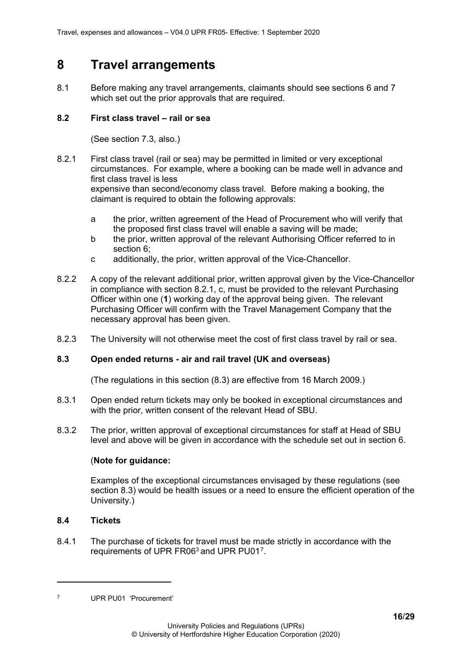# <span id="page-15-0"></span>**8 Travel arrangements**

8.1 Before making any travel arrangements, claimants should see sections 6 and 7 which set out the prior approvals that are required.

### <span id="page-15-1"></span>**8.2 First class travel – rail or sea**

(See section 7.3, also.)

8.2.1 First class travel (rail or sea) may be permitted in limited or very exceptional circumstances. For example, where a booking can be made well in advance and first class travel is less expensive than second/economy class travel. Before making a booking, the

claimant is required to obtain the following approvals:

- a the prior, written agreement of the Head of Procurement who will verify that the proposed first class travel will enable a saving will be made;
- b the prior, written approval of the relevant Authorising Officer referred to in section 6;
- c additionally, the prior, written approval of the Vice-Chancellor.
- 8.2.2 A copy of the relevant additional prior, written approval given by the Vice-Chancellor in compliance with section 8.2.1, c, must be provided to the relevant Purchasing Officer within one (**1**) working day of the approval being given. The relevant Purchasing Officer will confirm with the Travel Management Company that the necessary approval has been given.
- 8.2.3 The University will not otherwise meet the cost of first class travel by rail or sea.

# <span id="page-15-2"></span>**8.3 Open ended returns - air and rail travel (UK and overseas)**

(The regulations in this section (8.3) are effective from 16 March 2009.)

- 8.3.1 Open ended return tickets may only be booked in exceptional circumstances and with the prior, written consent of the relevant Head of SBU.
- 8.3.2 The prior, written approval of exceptional circumstances for staff at Head of SBU level and above will be given in accordance with the schedule set out in section 6.

# (**Note for guidance:**

Examples of the exceptional circumstances envisaged by these regulations (see section 8.3) would be health issues or a need to ensure the efficient operation of the University.)

### <span id="page-15-3"></span>**8.4 Tickets**

8.4.1 The purchase of tickets for travel must be made strictly in accordance with the requirements of UPR FR063 and UPR PU01[7.](#page-15-4)

<span id="page-15-4"></span><sup>7</sup> UPR PU01 'Procurement'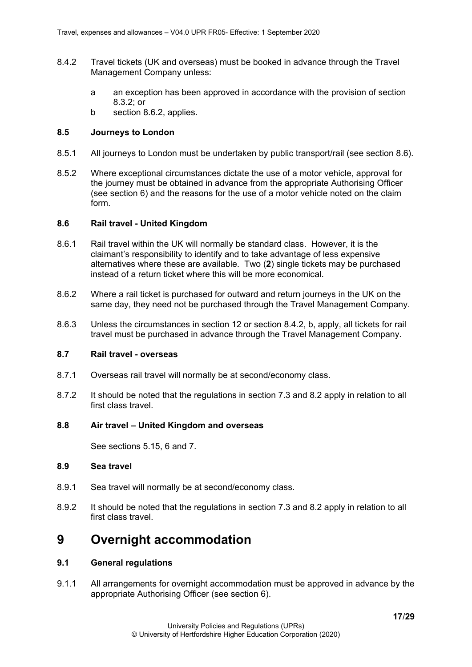- 8.4.2 Travel tickets (UK and overseas) must be booked in advance through the Travel Management Company unless:
	- a an exception has been approved in accordance with the provision of section  $8.3.2$ ; or
	- b section 8.6.2, applies.

#### <span id="page-16-0"></span>**8.5 Journeys to London**

- 8.5.1 All journeys to London must be undertaken by public transport/rail (see section 8.6).
- 8.5.2 Where exceptional circumstances dictate the use of a motor vehicle, approval for the journey must be obtained in advance from the appropriate Authorising Officer (see section 6) and the reasons for the use of a motor vehicle noted on the claim form.

#### <span id="page-16-1"></span>**8.6 Rail travel - United Kingdom**

- 8.6.1 Rail travel within the UK will normally be standard class. However, it is the claimant's responsibility to identify and to take advantage of less expensive alternatives where these are available. Two (**2**) single tickets may be purchased instead of a return ticket where this will be more economical.
- 8.6.2 Where a rail ticket is purchased for outward and return journeys in the UK on the same day, they need not be purchased through the Travel Management Company.
- 8.6.3 Unless the circumstances in section 12 or section 8.4.2, b, apply, all tickets for rail travel must be purchased in advance through the Travel Management Company.

#### <span id="page-16-2"></span>**8.7 Rail travel - overseas**

- 8.7.1 Overseas rail travel will normally be at second/economy class.
- 8.7.2 It should be noted that the regulations in section 7.3 and 8.2 apply in relation to all first class travel.

#### <span id="page-16-3"></span>**8.8 Air travel – United Kingdom and overseas**

See sections 5.15, 6 and 7.

### <span id="page-16-4"></span>**8.9 Sea travel**

- 8.9.1 Sea travel will normally be at second/economy class.
- 8.9.2 It should be noted that the regulations in section 7.3 and 8.2 apply in relation to all first class travel.

# <span id="page-16-5"></span>**9 Overnight accommodation**

#### <span id="page-16-6"></span>**9.1 General regulations**

9.1.1 All arrangements for overnight accommodation must be approved in advance by the appropriate Authorising Officer (see section 6).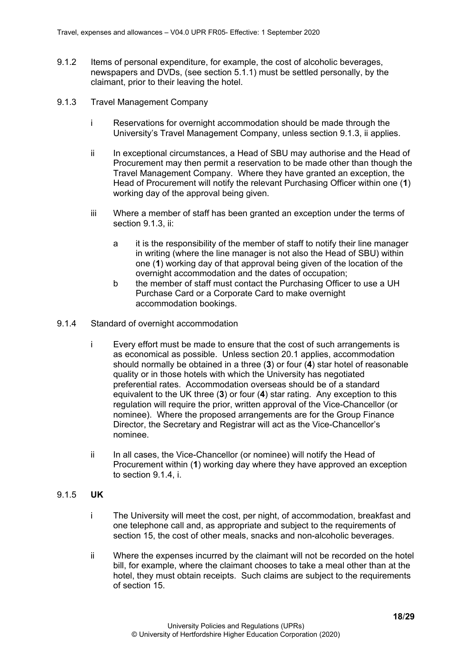- 9.1.2 Items of personal expenditure, for example, the cost of alcoholic beverages, newspapers and DVDs, (see section 5.1.1) must be settled personally, by the claimant, prior to their leaving the hotel.
- <span id="page-17-0"></span>9.1.3 Travel Management Company
	- i Reservations for overnight accommodation should be made through the University's Travel Management Company, unless section 9.1.3, ii applies.
	- ii In exceptional circumstances, a Head of SBU may authorise and the Head of Procurement may then permit a reservation to be made other than though the Travel Management Company. Where they have granted an exception, the Head of Procurement will notify the relevant Purchasing Officer within one (**1**) working day of the approval being given.
	- iii Where a member of staff has been granted an exception under the terms of section 9.1.3, ii:
		- a it is the responsibility of the member of staff to notify their line manager in writing (where the line manager is not also the Head of SBU) within one (**1**) working day of that approval being given of the location of the overnight accommodation and the dates of occupation;
		- b the member of staff must contact the Purchasing Officer to use a UH Purchase Card or a Corporate Card to make overnight accommodation bookings.
- <span id="page-17-1"></span>9.1.4 Standard of overnight accommodation
	- i Every effort must be made to ensure that the cost of such arrangements is as economical as possible. Unless section 20.1 applies, accommodation should normally be obtained in a three (**3**) or four (**4**) star hotel of reasonable quality or in those hotels with which the University has negotiated preferential rates. Accommodation overseas should be of a standard equivalent to the UK three (**3**) or four (**4**) star rating. Any exception to this regulation will require the prior, written approval of the Vice-Chancellor (or nominee). Where the proposed arrangements are for the Group Finance Director, the Secretary and Registrar will act as the Vice-Chancellor's nominee.
	- ii In all cases, the Vice-Chancellor (or nominee) will notify the Head of Procurement within (**1**) working day where they have approved an exception to section 9.1.4, i.

#### <span id="page-17-2"></span>9.1.5 **UK**

- i The University will meet the cost, per night, of accommodation, breakfast and one telephone call and, as appropriate and subject to the requirements of section 15, the cost of other meals, snacks and non-alcoholic beverages.
- ii Where the expenses incurred by the claimant will not be recorded on the hotel bill, for example, where the claimant chooses to take a meal other than at the hotel, they must obtain receipts. Such claims are subject to the requirements of section 15.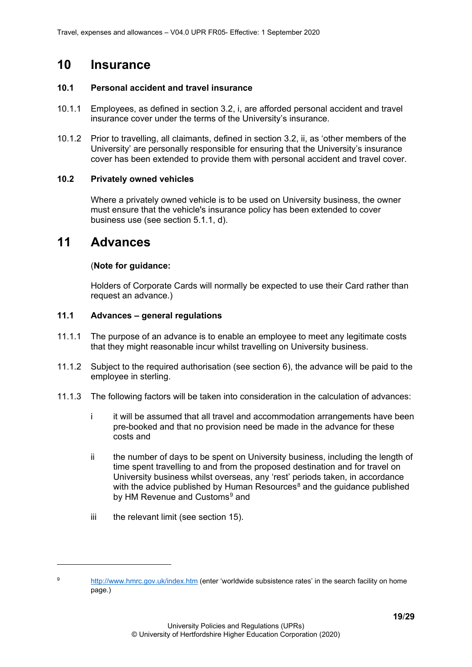# <span id="page-18-0"></span>**10 Insurance**

### <span id="page-18-1"></span>**10.1 Personal accident and travel insurance**

- 10.1.1 Employees, as defined in section 3.2, i, are afforded personal accident and travel insurance cover under the terms of the University's insurance.
- 10.1.2 Prior to travelling, all claimants, defined in section 3.2, ii, as 'other members of the University' are personally responsible for ensuring that the University's insurance cover has been extended to provide them with personal accident and travel cover.

# <span id="page-18-2"></span>**10.2 Privately owned vehicles**

Where a privately owned vehicle is to be used on University business, the owner must ensure that the vehicle's insurance policy has been extended to cover business use (see section 5.1.1, d).

# <span id="page-18-3"></span>**11 Advances**

# (**Note for guidance:**

Holders of Corporate Cards will normally be expected to use their Card rather than request an advance.)

# <span id="page-18-4"></span>**11.1 Advances – general regulations**

- 11.1.1 The purpose of an advance is to enable an employee to meet any legitimate costs that they might reasonable incur whilst travelling on University business.
- 11.1.2 Subject to the required authorisation (see section 6), the advance will be paid to the employee in sterling.
- 11.1.3 The following factors will be taken into consideration in the calculation of advances:
	- i it will be assumed that all travel and accommodation arrangements have been pre-booked and that no provision need be made in the advance for these costs and
	- ii the number of days to be spent on University business, including the length of time spent travelling to and from the proposed destination and for travel on University business whilst overseas, any 'rest' periods taken, in accordance with the advice published by Human Resources $8$  and the guidance published by HM Revenue and Customs<sup>[9](#page-18-6)</sup> and
	- iii the relevant limit (see section 15).

<span id="page-18-6"></span><span id="page-18-5"></span><sup>9</sup> <http://www.hmrc.gov.uk/index.htm> (enter 'worldwide subsistence rates' in the search facility on home page.)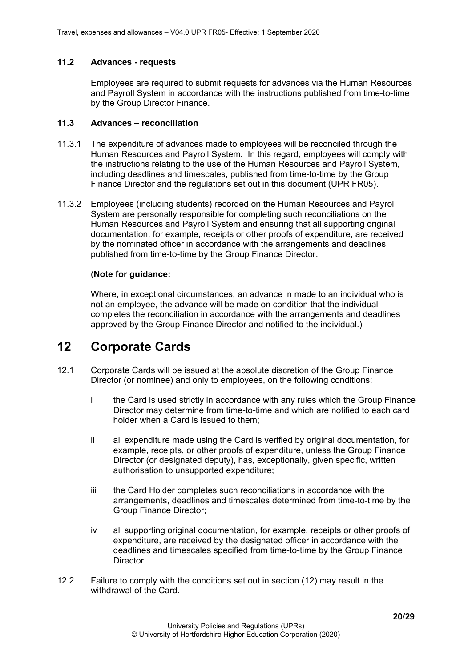### <span id="page-19-0"></span>**11.2 Advances - requests**

Employees are required to submit requests for advances via the Human Resources and Payroll System in accordance with the instructions published from time-to-time by the Group Director Finance.

### <span id="page-19-1"></span>**11.3 Advances – reconciliation**

- 11.3.1 The expenditure of advances made to employees will be reconciled through the Human Resources and Payroll System. In this regard, employees will comply with the instructions relating to the use of the Human Resources and Payroll System, including deadlines and timescales, published from time-to-time by the Group Finance Director and the regulations set out in this document (UPR FR05).
- 11.3.2 Employees (including students) recorded on the Human Resources and Payroll System are personally responsible for completing such reconciliations on the Human Resources and Payroll System and ensuring that all supporting original documentation, for example, receipts or other proofs of expenditure, are received by the nominated officer in accordance with the arrangements and deadlines published from time-to-time by the Group Finance Director.

# (**Note for guidance:**

Where, in exceptional circumstances, an advance in made to an individual who is not an employee, the advance will be made on condition that the individual completes the reconciliation in accordance with the arrangements and deadlines approved by the Group Finance Director and notified to the individual.)

# <span id="page-19-2"></span>**12 Corporate Cards**

- 12.1 Corporate Cards will be issued at the absolute discretion of the Group Finance Director (or nominee) and only to employees, on the following conditions:
	- i the Card is used strictly in accordance with any rules which the Group Finance Director may determine from time-to-time and which are notified to each card holder when a Card is issued to them;
	- ii all expenditure made using the Card is verified by original documentation, for example, receipts, or other proofs of expenditure, unless the Group Finance Director (or designated deputy), has, exceptionally, given specific, written authorisation to unsupported expenditure;
	- iii the Card Holder completes such reconciliations in accordance with the arrangements, deadlines and timescales determined from time-to-time by the Group Finance Director;
	- iv all supporting original documentation, for example, receipts or other proofs of expenditure, are received by the designated officer in accordance with the deadlines and timescales specified from time-to-time by the Group Finance **Director**
- 12.2 Failure to comply with the conditions set out in section (12) may result in the withdrawal of the Card.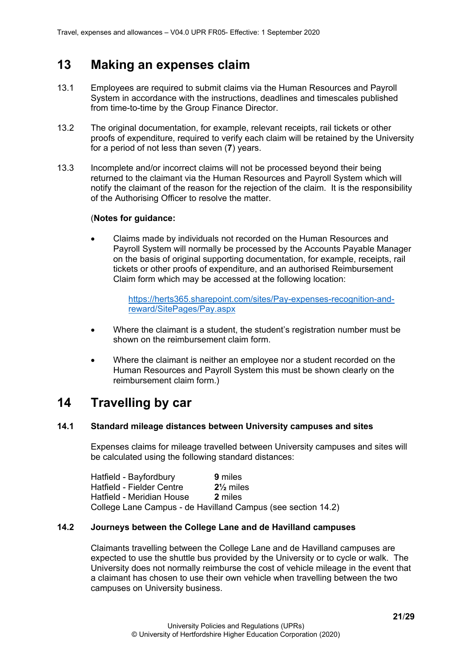# <span id="page-20-0"></span>**13 Making an expenses claim**

- 13.1 Employees are required to submit claims via the Human Resources and Payroll System in accordance with the instructions, deadlines and timescales published from time-to-time by the Group Finance Director.
- 13.2 The original documentation, for example, relevant receipts, rail tickets or other proofs of expenditure, required to verify each claim will be retained by the University for a period of not less than seven (**7**) years.
- 13.3 Incomplete and/or incorrect claims will not be processed beyond their being returned to the claimant via the Human Resources and Payroll System which will notify the claimant of the reason for the rejection of the claim. It is the responsibility of the Authorising Officer to resolve the matter.

# (**Notes for guidance:**

• Claims made by individuals not recorded on the Human Resources and Payroll System will normally be processed by the Accounts Payable Manager on the basis of original supporting documentation, for example, receipts, rail tickets or other proofs of expenditure, and an authorised Reimbursement Claim form which may be accessed at the following location:

> [https://herts365.sharepoint.com/sites/Pay-expenses-recognition-and](https://herts365.sharepoint.com/sites/Pay-expenses-recognition-and-reward/SitePages/Pay.aspx)[reward/SitePages/Pay.aspx](https://herts365.sharepoint.com/sites/Pay-expenses-recognition-and-reward/SitePages/Pay.aspx)

- Where the claimant is a student, the student's registration number must be shown on the reimbursement claim form.
- Where the claimant is neither an employee nor a student recorded on the Human Resources and Payroll System this must be shown clearly on the reimbursement claim form.)

# <span id="page-20-1"></span>**14 Travelling by car**

### <span id="page-20-2"></span>**14.1 Standard mileage distances between University campuses and sites**

Expenses claims for mileage travelled between University campuses and sites will be calculated using the following standard distances:

| Hatfield - Bayfordbury    | 9 miles                                                      |
|---------------------------|--------------------------------------------------------------|
| Hatfield - Fielder Centre | $2\frac{1}{2}$ miles                                         |
| Hatfield - Meridian House | 2 miles                                                      |
|                           | College Lane Campus - de Havilland Campus (see section 14.2) |

### <span id="page-20-3"></span>**14.2 Journeys between the College Lane and de Havilland campuses**

Claimants travelling between the College Lane and de Havilland campuses are expected to use the shuttle bus provided by the University or to cycle or walk. The University does not normally reimburse the cost of vehicle mileage in the event that a claimant has chosen to use their own vehicle when travelling between the two campuses on University business.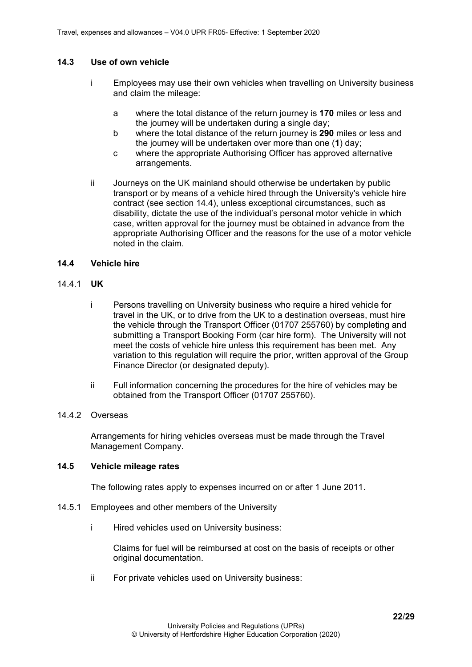# <span id="page-21-0"></span>**14.3 Use of own vehicle**

- i Employees may use their own vehicles when travelling on University business and claim the mileage:
	- a where the total distance of the return journey is **170** miles or less and the journey will be undertaken during a single day;
	- b where the total distance of the return journey is **290** miles or less and the journey will be undertaken over more than one (**1**) day;
	- c where the appropriate Authorising Officer has approved alternative arrangements.
- ii Journeys on the UK mainland should otherwise be undertaken by public transport or by means of a vehicle hired through the University's vehicle hire contract (see section 14.4), unless exceptional circumstances, such as disability, dictate the use of the individual's personal motor vehicle in which case, written approval for the journey must be obtained in advance from the appropriate Authorising Officer and the reasons for the use of a motor vehicle noted in the claim.

### <span id="page-21-1"></span>**14.4 Vehicle hire**

### <span id="page-21-2"></span>14.4.1 **UK**

- i Persons travelling on University business who require a hired vehicle for travel in the UK, or to drive from the UK to a destination overseas, must hire the vehicle through the Transport Officer (01707 255760) by completing and submitting a Transport Booking Form (car hire form). The University will not meet the costs of vehicle hire unless this requirement has been met. Any variation to this regulation will require the prior, written approval of the Group Finance Director (or designated deputy).
- ii Full information concerning the procedures for the hire of vehicles may be obtained from the Transport Officer (01707 255760).

#### <span id="page-21-3"></span>14.4.2 Overseas

Arrangements for hiring vehicles overseas must be made through the Travel Management Company.

# <span id="page-21-4"></span>**14.5 Vehicle mileage rates**

The following rates apply to expenses incurred on or after 1 June 2011.

- <span id="page-21-5"></span>14.5.1 Employees and other members of the University
	- i Hired vehicles used on University business:

Claims for fuel will be reimbursed at cost on the basis of receipts or other original documentation.

ii For private vehicles used on University business: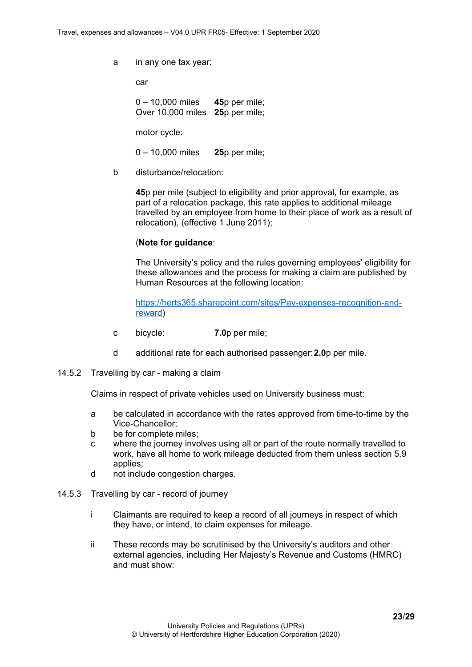a in any one tax year:

car

0 – 10,000 miles **45**p per mile; Over 10,000 miles **25**p per mile;

motor cycle:

0 – 10,000 miles **25**p per mile;

b disturbance/relocation:

**45**p per mile (subject to eligibility and prior approval, for example, as part of a relocation package, this rate applies to additional mileage travelled by an employee from home to their place of work as a result of relocation), (effective 1 June 2011);

#### (**Note for guidance**:

The University's policy and the rules governing employees' eligibility for these allowances and the process for making a claim are published by Human Resources at the following location:

[https://herts365.sharepoint.com/sites/Pay-expenses-recognition-and](https://herts365.sharepoint.com/sites/Pay-expenses-recognition-and-reward)[reward\)](https://herts365.sharepoint.com/sites/Pay-expenses-recognition-and-reward)

- c bicycle: **7.0**p per mile;
- d additional rate for each authorised passenger:**2.0**p per mile.
- <span id="page-22-0"></span>14.5.2 Travelling by car - making a claim

Claims in respect of private vehicles used on University business must:

- a be calculated in accordance with the rates approved from time-to-time by the Vice-Chancellor;
- b be for complete miles;
- c where the journey involves using all or part of the route normally travelled to work, have all home to work mileage deducted from them unless section 5.9 applies;
- d not include congestion charges.
- <span id="page-22-1"></span>14.5.3 Travelling by car - record of journey
	- i Claimants are required to keep a record of all journeys in respect of which they have, or intend, to claim expenses for mileage.
	- ii These records may be scrutinised by the University's auditors and other external agencies, including Her Majesty's Revenue and Customs (HMRC) and must show: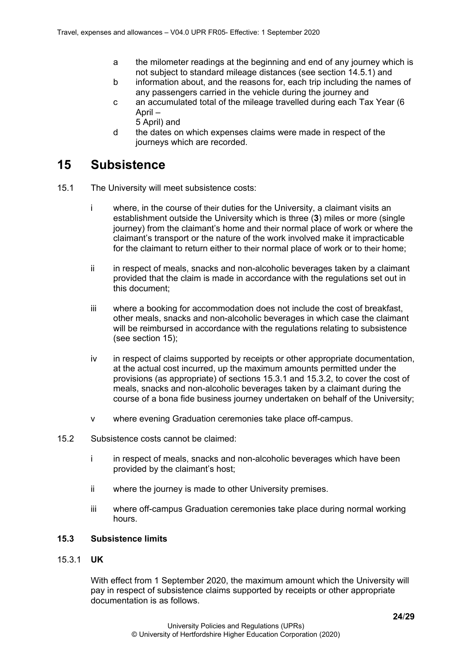- a the milometer readings at the beginning and end of any journey which is not subject to standard mileage distances (see section 14.5.1) and
- b information about, and the reasons for, each trip including the names of any passengers carried in the vehicle during the journey and
- c an accumulated total of the mileage travelled during each Tax Year (6 April –
	- 5 April) and
- d the dates on which expenses claims were made in respect of the journeys which are recorded.

# <span id="page-23-0"></span>**15 Subsistence**

- 15.1 The University will meet subsistence costs:
	- i where, in the course of their duties for the University, a claimant visits an establishment outside the University which is three (**3**) miles or more (single journey) from the claimant's home and their normal place of work or where the claimant's transport or the nature of the work involved make it impracticable for the claimant to return either to their normal place of work or to their home;
	- ii in respect of meals, snacks and non-alcoholic beverages taken by a claimant provided that the claim is made in accordance with the regulations set out in this document;
	- iii where a booking for accommodation does not include the cost of breakfast, other meals, snacks and non-alcoholic beverages in which case the claimant will be reimbursed in accordance with the regulations relating to subsistence (see section 15);
	- iv in respect of claims supported by receipts or other appropriate documentation, at the actual cost incurred, up the maximum amounts permitted under the provisions (as appropriate) of sections 15.3.1 and 15.3.2, to cover the cost of meals, snacks and non-alcoholic beverages taken by a claimant during the course of a bona fide business journey undertaken on behalf of the University;
	- v where evening Graduation ceremonies take place off-campus.
- 15.2 Subsistence costs cannot be claimed:
	- i in respect of meals, snacks and non-alcoholic beverages which have been provided by the claimant's host;
	- ii where the journey is made to other University premises.
	- iii where off-campus Graduation ceremonies take place during normal working hours.

### <span id="page-23-1"></span>**15.3 Subsistence limits**

#### <span id="page-23-2"></span>15.3.1 **UK**

With effect from 1 September 2020, the maximum amount which the University will pay in respect of subsistence claims supported by receipts or other appropriate documentation is as follows.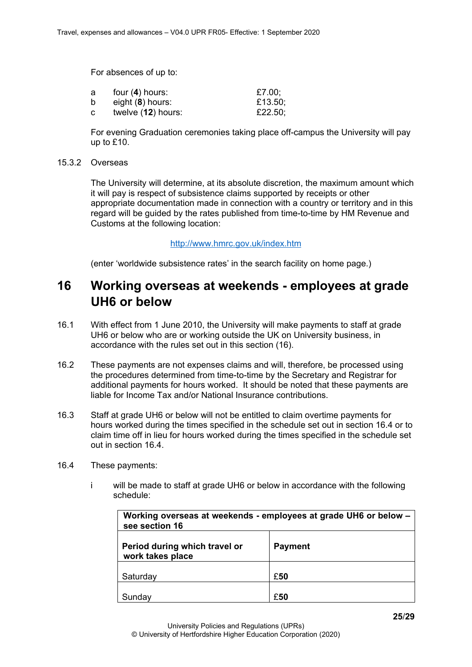For absences of up to:

| a | four $(4)$ hours:  | £7.00;  |
|---|--------------------|---------|
| b | eight $(8)$ hours: | £13.50; |
| C | twelve (12) hours: | £22.50; |

For evening Graduation ceremonies taking place off-campus the University will pay up to £10.

#### <span id="page-24-0"></span>15.3.2 Overseas

The University will determine, at its absolute discretion, the maximum amount which it will pay is respect of subsistence claims supported by receipts or other appropriate documentation made in connection with a country or territory and in this regard will be guided by the rates published from time-to-time by HM Revenue and Customs at the following location:

#### <http://www.hmrc.gov.uk/index.htm>

(enter 'worldwide subsistence rates' in the search facility on home page.)

# <span id="page-24-1"></span>**16 Working overseas at weekends - employees at grade UH6 or below**

- 16.1 With effect from 1 June 2010, the University will make payments to staff at grade UH6 or below who are or working outside the UK on University business, in accordance with the rules set out in this section (16).
- 16.2 These payments are not expenses claims and will, therefore, be processed using the procedures determined from time-to-time by the Secretary and Registrar for additional payments for hours worked. It should be noted that these payments are liable for Income Tax and/or National Insurance contributions.
- 16.3 Staff at grade UH6 or below will not be entitled to claim overtime payments for hours worked during the times specified in the schedule set out in section 16.4 or to claim time off in lieu for hours worked during the times specified in the schedule set out in section 16.4.
- 16.4 These payments:
	- i will be made to staff at grade UH6 or below in accordance with the following schedule:

| Working overseas at weekends - employees at grade UH6 or below -<br>see section 16 |     |  |
|------------------------------------------------------------------------------------|-----|--|
| Period during which travel or<br><b>Payment</b><br>work takes place                |     |  |
| Saturday                                                                           | £50 |  |
| £50<br>Sunday                                                                      |     |  |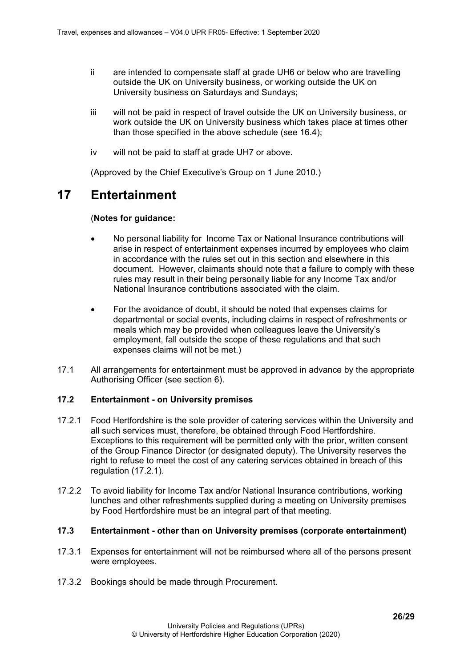- ii are intended to compensate staff at grade UH6 or below who are travelling outside the UK on University business, or working outside the UK on University business on Saturdays and Sundays;
- iii will not be paid in respect of travel outside the UK on University business, or work outside the UK on University business which takes place at times other than those specified in the above schedule (see 16.4);
- iv will not be paid to staff at grade UH7 or above.

(Approved by the Chief Executive's Group on 1 June 2010.)

# <span id="page-25-0"></span>**17 Entertainment**

### (**Notes for guidance:**

- No personal liability for Income Tax or National Insurance contributions will arise in respect of entertainment expenses incurred by employees who claim in accordance with the rules set out in this section and elsewhere in this document. However, claimants should note that a failure to comply with these rules may result in their being personally liable for any Income Tax and/or National Insurance contributions associated with the claim.
- For the avoidance of doubt, it should be noted that expenses claims for departmental or social events, including claims in respect of refreshments or meals which may be provided when colleagues leave the University's employment, fall outside the scope of these regulations and that such expenses claims will not be met.)
- 17.1 All arrangements for entertainment must be approved in advance by the appropriate Authorising Officer (see section 6).

### <span id="page-25-1"></span>**17.2 Entertainment - on University premises**

- 17.2.1 Food Hertfordshire is the sole provider of catering services within the University and all such services must, therefore, be obtained through Food Hertfordshire. Exceptions to this requirement will be permitted only with the prior, written consent of the Group Finance Director (or designated deputy). The University reserves the right to refuse to meet the cost of any catering services obtained in breach of this regulation (17.2.1).
- 17.2.2 To avoid liability for Income Tax and/or National Insurance contributions, working lunches and other refreshments supplied during a meeting on University premises by Food Hertfordshire must be an integral part of that meeting.

#### <span id="page-25-2"></span>**17.3 Entertainment - other than on University premises (corporate entertainment)**

- 17.3.1 Expenses for entertainment will not be reimbursed where all of the persons present were employees.
- 17.3.2 Bookings should be made through Procurement.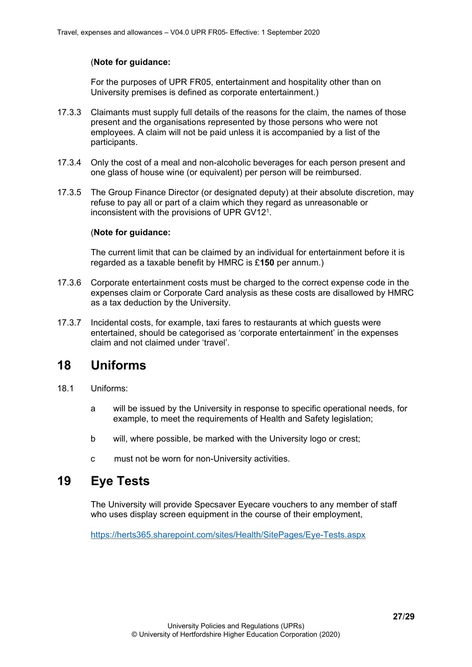# (**Note for guidance:**

For the purposes of UPR FR05, entertainment and hospitality other than on University premises is defined as corporate entertainment.)

- 17.3.3 Claimants must supply full details of the reasons for the claim, the names of those present and the organisations represented by those persons who were not employees. A claim will not be paid unless it is accompanied by a list of the participants.
- 17.3.4 Only the cost of a meal and non-alcoholic beverages for each person present and one glass of house wine (or equivalent) per person will be reimbursed.
- 17.3.5 The Group Finance Director (or designated deputy) at their absolute discretion, may refuse to pay all or part of a claim which they regard as unreasonable or inconsistent with the provisions of UPR GV121.

### (**Note for guidance:**

The current limit that can be claimed by an individual for entertainment before it is regarded as a taxable benefit by HMRC is £**150** per annum.)

- 17.3.6 Corporate entertainment costs must be charged to the correct expense code in the expenses claim or Corporate Card analysis as these costs are disallowed by HMRC as a tax deduction by the University.
- 17.3.7 Incidental costs, for example, taxi fares to restaurants at which guests were entertained, should be categorised as 'corporate entertainment' in the expenses claim and not claimed under 'travel'.

# <span id="page-26-0"></span>**18 Uniforms**

- 18.1 Uniforms:
	- a will be issued by the University in response to specific operational needs, for example, to meet the requirements of Health and Safety legislation;
	- b will, where possible, be marked with the University logo or crest;
	- c must not be worn for non-University activities.

# <span id="page-26-1"></span>**19 Eye Tests**

The University will provide Specsaver Eyecare vouchers to any member of staff who uses display screen equipment in the course of their employment,

<https://herts365.sharepoint.com/sites/Health/SitePages/Eye-Tests.aspx>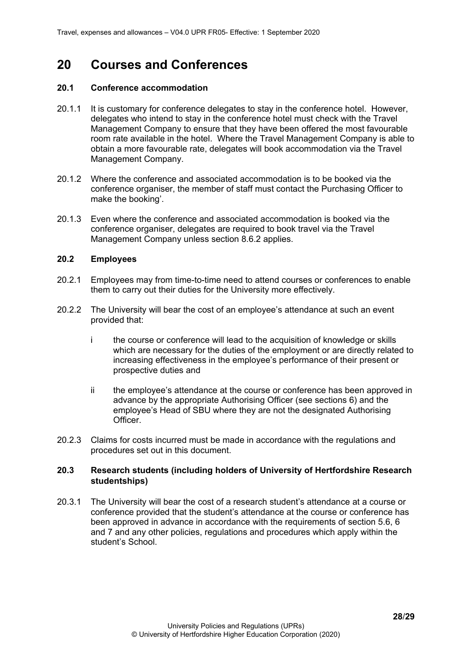# <span id="page-27-0"></span>**20 Courses and Conferences**

#### <span id="page-27-1"></span>**20.1 Conference accommodation**

- 20.1.1 It is customary for conference delegates to stay in the conference hotel. However, delegates who intend to stay in the conference hotel must check with the Travel Management Company to ensure that they have been offered the most favourable room rate available in the hotel. Where the Travel Management Company is able to obtain a more favourable rate, delegates will book accommodation via the Travel Management Company.
- 20.1.2 Where the conference and associated accommodation is to be booked via the conference organiser, the member of staff must contact the Purchasing Officer to make the booking'.
- 20.1.3 Even where the conference and associated accommodation is booked via the conference organiser, delegates are required to book travel via the Travel Management Company unless section 8.6.2 applies.

#### <span id="page-27-2"></span>**20.2 Employees**

- 20.2.1 Employees may from time-to-time need to attend courses or conferences to enable them to carry out their duties for the University more effectively.
- 20.2.2 The University will bear the cost of an employee's attendance at such an event provided that:
	- i the course or conference will lead to the acquisition of knowledge or skills which are necessary for the duties of the employment or are directly related to increasing effectiveness in the employee's performance of their present or prospective duties and
	- ii the employee's attendance at the course or conference has been approved in advance by the appropriate Authorising Officer (see sections 6) and the employee's Head of SBU where they are not the designated Authorising Officer.
- 20.2.3 Claims for costs incurred must be made in accordance with the regulations and procedures set out in this document.

#### <span id="page-27-3"></span>**20.3 Research students (including holders of University of Hertfordshire Research studentships)**

20.3.1 The University will bear the cost of a research student's attendance at a course or conference provided that the student's attendance at the course or conference has been approved in advance in accordance with the requirements of section 5.6, 6 and 7 and any other policies, regulations and procedures which apply within the student's School.